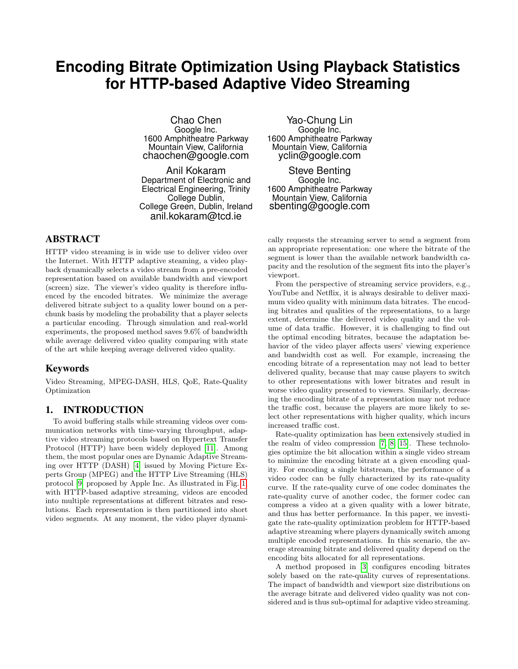# **Encoding Bitrate Optimization Using Playback Statistics for HTTP-based Adaptive Video Streaming**

Chao Chen Google Inc. 1600 Amphitheatre Parkway Mountain View, California chaochen@google.com

Anil Kokaram Department of Electronic and Electrical Engineering, Trinity College Dublin, College Green, Dublin, Ireland anil.kokaram@tcd.ie

## ABSTRACT

HTTP video streaming is in wide use to deliver video over the Internet. With HTTP adaptive steaming, a video playback dynamically selects a video stream from a pre-encoded representation based on available bandwidth and viewport (screen) size. The viewer's video quality is therefore influenced by the encoded bitrates. We minimize the average delivered bitrate subject to a quality lower bound on a perchunk basis by modeling the probability that a player selects a particular encoding. Through simulation and real-world experiments, the proposed method saves 9.6% of bandwidth while average delivered video quality comparing with state of the art while keeping average delivered video quality.

#### Keywords

Video Streaming, MPEG-DASH, HLS, QoE, Rate-Quality Optimization

#### 1. INTRODUCTION

To avoid buffering stalls while streaming videos over communication networks with time-varying throughput, adaptive video streaming protocols based on Hypertext Transfer Protocol (HTTP) have been widely deployed [\[11\]](#page-7-0). Among them, the most popular ones are Dynamic Adaptive Streaming over HTTP (DASH) [\[4\]](#page-6-0) issued by Moving Picture Experts Group (MPEG) and the HTTP Live Streaming (HLS) protocol [\[9\]](#page-7-1) proposed by Apple Inc. As illustrated in Fig. [1,](#page-1-0) with HTTP-based adaptive streaming, videos are encoded into multiple representations at different bitrates and resolutions. Each representation is then partitioned into short video segments. At any moment, the video player dynami-

Yao-Chung Lin Google Inc. 1600 Amphitheatre Parkway Mountain View, California yclin@google.com

Steve Benting Google Inc. 1600 Amphitheatre Parkway Mountain View, California sbenting@google.com

cally requests the streaming server to send a segment from an appropriate representation: one where the bitrate of the segment is lower than the available network bandwidth capacity and the resolution of the segment fits into the player's viewport.

From the perspective of streaming service providers, e.g., YouTube and Netflix, it is always desirable to deliver maximum video quality with minimum data bitrates. The encoding bitrates and qualities of the representations, to a large extent, determine the delivered video quality and the volume of data traffic. However, it is challenging to find out the optimal encoding bitrates, because the adaptation behavior of the video player affects users' viewing experience and bandwidth cost as well. For example, increasing the encoding bitrate of a representation may not lead to better delivered quality, because that may cause players to switch to other representations with lower bitrates and result in worse video quality presented to viewers. Similarly, decreasing the encoding bitrate of a representation may not reduce the traffic cost, because the players are more likely to select other representations with higher quality, which incurs increased traffic cost.

Rate-quality optimization has been extensively studied in the realm of video compression [\[7,](#page-6-1) [8,](#page-6-2) [15\]](#page-7-2). These technologies optimize the bit allocation within a single video stream to minimize the encoding bitrate at a given encoding quality. For encoding a single bitstream, the performance of a video codec can be fully characterized by its rate-quality curve. If the rate-quality curve of one codec dominates the rate-quality curve of another codec, the former codec can compress a video at a given quality with a lower bitrate, and thus has better performance. In this paper, we investigate the rate-quality optimization problem for HTTP-based adaptive streaming where players dynamically switch among multiple encoded representations. In this scenario, the average streaming bitrate and delivered quality depend on the encoding bits allocated for all representations.

A method proposed in [\[3\]](#page-6-3) configures encoding bitrates solely based on the rate-quality curves of representations. The impact of bandwidth and viewport size distributions on the average bitrate and delivered video quality was not considered and is thus sub-optimal for adaptive video streaming.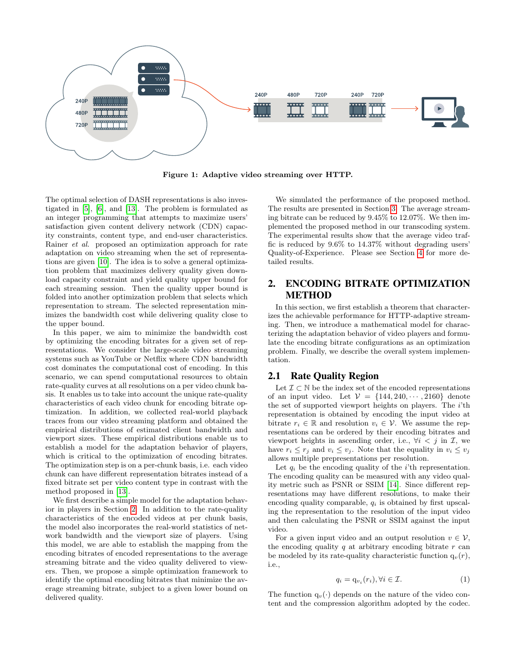

<span id="page-1-0"></span>Figure 1: Adaptive video streaming over HTTP.

The optimal selection of DASH representations is also investigated in [\[5\]](#page-6-4), [\[6\]](#page-6-5), and [\[13\]](#page-7-3). The problem is formulated as an integer programming that attempts to maximize users' satisfaction given content delivery network (CDN) capacity constraints, content type, and end-user characteristics. Rainer et al. proposed an optimization approach for rate adaptation on video streaming when the set of representations are given [\[10\]](#page-7-4). The idea is to solve a general optimization problem that maximizes delivery quality given download capacity constraint and yield quality upper bound for each streaming session. Then the quality upper bound is folded into another optimization problem that selects which representation to stream. The selected representation minimizes the bandwidth cost while delivering quality close to the upper bound.

In this paper, we aim to minimize the bandwidth cost by optimizing the encoding bitrates for a given set of representations. We consider the large-scale video streaming systems such as YouTube or Netflix where CDN bandwidth cost dominates the computational cost of encoding. In this scenario, we can spend computational resources to obtain rate-quality curves at all resolutions on a per video chunk basis. It enables us to take into account the unique rate-quality characteristics of each video chunk for encoding bitrate optimization. In addition, we collected real-world playback traces from our video streaming platform and obtained the empirical distributions of estimated client bandwidth and viewport sizes. These empirical distributions enable us to establish a model for the adaptation behavior of players, which is critical to the optimization of encoding bitrates. The optimization step is on a per-chunk basis, i.e. each video chunk can have different representation bitrates instead of a fixed bitrate set per video content type in contrast with the method proposed in [\[13\]](#page-7-3).

We first describe a simple model for the adaptation behavior in players in Section [2.](#page-1-1) In addition to the rate-quality characteristics of the encoded videos at per chunk basis, the model also incorporates the real-world statistics of network bandwidth and the viewport size of players. Using this model, we are able to establish the mapping from the encoding bitrates of encoded representations to the average streaming bitrate and the video quality delivered to viewers. Then, we propose a simple optimization framework to identify the optimal encoding bitrates that minimize the average streaming bitrate, subject to a given lower bound on delivered quality.

We simulated the performance of the proposed method. The results are presented in Section [3.](#page-3-0) The average streaming bitrate can be reduced by 9.45% to 12.07%. We then implemented the proposed method in our transcoding system. The experimental results show that the average video traffic is reduced by 9.6% to 14.37% without degrading users' Quality-of-Experience. Please see Section [4](#page-4-0) for more detailed results.

# <span id="page-1-1"></span>2. ENCODING BITRATE OPTIMIZATION METHOD

In this section, we first establish a theorem that characterizes the achievable performance for HTTP-adaptive streaming. Then, we introduce a mathematical model for characterizing the adaptation behavior of video players and formulate the encoding bitrate configurations as an optimization problem. Finally, we describe the overall system implementation.

## 2.1 Rate Quality Region

Let  $\mathcal{I} \subset \mathbb{N}$  be the index set of the encoded representations of an input video. Let  $V = \{144, 240, \cdots, 2160\}$  denote the set of supported viewport heights on players. The i'th representation is obtained by encoding the input video at bitrate  $r_i \in \mathbb{R}$  and resolution  $v_i \in \mathcal{V}$ . We assume the representations can be ordered by their encoding bitrates and viewport heights in ascending order, i.e.,  $\forall i \leq j$  in  $\mathcal{I}$ , we have  $r_i \leq r_j$  and  $v_i \leq v_j$ . Note that the equality in  $v_i \leq v_j$ allows multiple prepresentations per resolution.

Let  $q_i$  be the encoding quality of the *i*'th representation. The encoding quality can be measured with any video quality metric such as PSNR or SSIM [\[14\]](#page-7-5). Since different representations may have different resolutions, to make their encoding quality comparable,  $q_i$  is obtained by first upscaling the representation to the resolution of the input video and then calculating the PSNR or SSIM against the input video.

For a given input video and an output resolution  $v \in V$ , the encoding quality  $q$  at arbitrary encoding bitrate  $r$  can be modeled by its rate-quality characteristic function  $q_v(r)$ , i.e.,

$$
q_i = \mathbf{q}_{v_i}(r_i), \forall i \in \mathcal{I}.\tag{1}
$$

The function  $q_v(\cdot)$  depends on the nature of the video content and the compression algorithm adopted by the codec.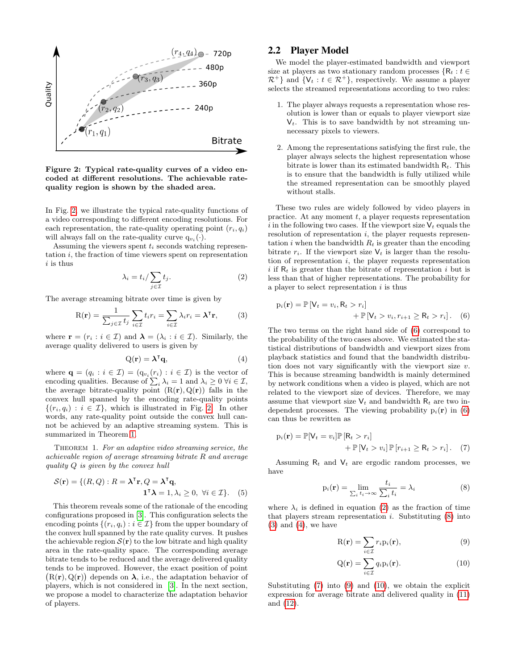

<span id="page-2-0"></span>Figure 2: Typical rate-quality curves of a video encoded at different resolutions. The achievable ratequality region is shown by the shaded area.

In Fig. [2,](#page-2-0) we illustrate the typical rate-quality functions of a video corresponding to different encoding resolutions. For each representation, the rate-quality operating point  $(r_i, q_i)$ will always fall on the rate-quality curve  $q_{v_i}(\cdot)$ .

Assuming the viewers spent  $t_i$  seconds watching representation  $i$ , the fraction of time viewers spent on representation  $i$  is thus

$$
\lambda_i = t_i / \sum_{j \in \mathcal{I}} t_j. \tag{2}
$$

The average streaming bitrate over time is given by

$$
R(\mathbf{r}) = \frac{1}{\sum_{j \in \mathcal{I}} t_j} \sum_{i \in \mathcal{I}} t_i r_i = \sum_{i \in \mathcal{I}} \lambda_i r_i = \lambda^{\mathsf{T}} \mathbf{r},\qquad(3)
$$

where  $\mathbf{r} = (r_i : i \in \mathcal{I})$  and  $\boldsymbol{\lambda} = (\lambda_i : i \in \mathcal{I})$ . Similarly, the average quality delivered to users is given by

<span id="page-2-1"></span>
$$
Q(\mathbf{r}) = \boldsymbol{\lambda}^{\mathsf{T}} \mathbf{q},\tag{4}
$$

where  $\mathbf{q} = (q_i : i \in \mathcal{I}) = (q_{v_i}(r_i) : i \in \mathcal{I})$  is the vector of encoding qualities. Because of  $\sum_i \lambda_i = 1$  and  $\lambda_i \geq 0$   $\forall i \in \mathcal{I}$ , the average bitrate-quality point  $(R(r), Q(r))$  falls in the convex hull spanned by the encoding rate-quality points  $\{(r_i, q_i) : i \in \mathcal{I}\}\$ , which is illustrated in Fig. [2.](#page-2-0) In other words, any rate-quality point outside the convex hull cannot be achieved by an adaptive streaming system. This is summarized in Theorem [1.](#page-2-1)

THEOREM 1. For an adaptive video streaming service, the achievable region of average streaming bitrate R and average quality Q is given by the convex hull

$$
S(\mathbf{r}) = \{ (R, Q) : R = \lambda^{\mathsf{T}} \mathbf{r}, Q = \lambda^{\mathsf{T}} \mathbf{q},
$$
  

$$
\mathbf{1}^{\mathsf{T}} \lambda = 1, \lambda_i \ge 0, \ \forall i \in \mathcal{I} \}.
$$
 (5)

This theorem reveals some of the rationale of the encoding configurations proposed in [\[3\]](#page-6-3). This configuration selects the encoding points  $\{(r_i, q_i) : i \in \mathcal{I}\}\)$  from the upper boundary of the convex hull spanned by the rate quality curves. It pushes the achievable region  $\mathcal{S}(\mathbf{r})$  to the low bitrate and high quality area in the rate-quality space. The corresponding average bitrate tends to be reduced and the average delivered quality tends to be improved. However, the exact position of point  $(R(r), Q(r))$  depends on  $\lambda$ , i.e., the adaptation behavior of players, which is not considered in [\[3\]](#page-6-3). In the next section, we propose a model to characterize the adaptation behavior of players.

#### 2.2 Player Model

We model the player-estimated bandwidth and viewport size at players as two stationary random processes  $\{R_t : t \in$  $\mathcal{R}^+$ } and  $\{V_t : t \in \mathcal{R}^+\}$ , respectively. We assume a player selects the streamed representations according to two rules:

- 1. The player always requests a representation whose resolution is lower than or equals to player viewport size  $V_t$ . This is to save bandwidth by not streaming unnecessary pixels to viewers.
- 2. Among the representations satisfying the first rule, the player always selects the highest representation whose bitrate is lower than its estimated bandwidth  $R_t$ . This is to ensure that the bandwidth is fully utilized while the streamed representation can be smoothly played without stalls.

These two rules are widely followed by video players in practice. At any moment  $t$ , a player requests representation i in the following two cases. If the viewport size  $V_t$  equals the resolution of representation  $i$ , the player requests representation i when the bandwidth  $R_t$  is greater than the encoding bitrate  $r_i$ . If the viewport size  $V_t$  is larger than the resolution of representation  $i$ , the player requests representation i if  $R_t$  is greater than the bitrate of representation i but is less than that of higher representations. The probability for a player to select representation  $i$  is thus

<span id="page-2-3"></span><span id="page-2-2"></span>
$$
p_i(\mathbf{r}) = \mathbb{P}\left[V_t = v_i, R_t > r_i\right] + \mathbb{P}\left[V_t > v_i, r_{i+1} \ge R_t > r_i\right].
$$
 (6)

<span id="page-2-6"></span><span id="page-2-5"></span>The two terms on the right hand side of [\(6\)](#page-2-2) correspond to the probability of the two cases above. We estimated the statistical distributions of bandwidth and viewport sizes from playback statistics and found that the bandwidth distribution does not vary significantly with the viewport size  $v$ . This is because streaming bandwidth is mainly determined by network conditions when a video is played, which are not related to the viewport size of devices. Therefore, we may assume that viewport size  $V_t$  and bandwidth  $R_t$  are two independent processes. The viewing probability  $p_i(\mathbf{r})$  in [\(6\)](#page-2-2) can thus be rewritten as

$$
p_i(\mathbf{r}) = \mathbb{P}[V_t = v_i] \mathbb{P}[R_t > r_i]
$$
  
 
$$
+ \mathbb{P}[V_t > v_i] \mathbb{P}[r_{i+1} \ge R_t > r_i]. \quad (7)
$$

Assuming  $R_t$  and  $V_t$  are ergodic random processes, we have

<span id="page-2-7"></span>
$$
p_i(\mathbf{r}) = \lim_{\sum_i t_i \to \infty} \frac{t_i}{\sum_i t_i} = \lambda_i
$$
 (8)

<span id="page-2-10"></span>where  $\lambda_i$  is defined in equation [\(2\)](#page-2-3) as the fraction of time that players stream representation  $i$ . Substituting  $(8)$  into  $(3)$  and  $(4)$ , we have

<span id="page-2-8"></span><span id="page-2-4"></span>
$$
R(\mathbf{r}) = \sum_{i \in \mathcal{I}} r_i p_i(\mathbf{r}), \qquad (9)
$$

<span id="page-2-9"></span>
$$
Q(\mathbf{r}) = \sum_{i \in \mathcal{I}} q_i p_i(\mathbf{r}).
$$
 (10)

Substituting [\(7\)](#page-2-7) into [\(9\)](#page-2-8) and [\(10\)](#page-2-9), we obtain the explicit expression for average bitrate and delivered quality in [\(11\)](#page-3-1) and [\(12\)](#page-3-2).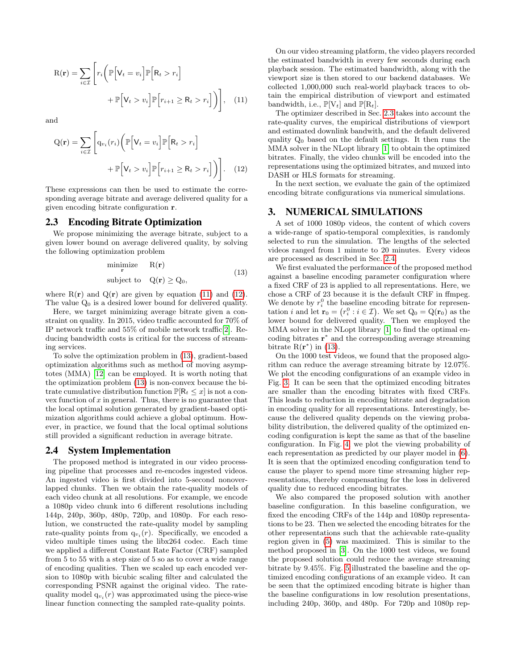$$
R(\mathbf{r}) = \sum_{i \in \mathcal{I}} \left[ r_i \left( \mathbb{P} \left[ V_t = v_i \right] \mathbb{P} \left[ R_t > r_i \right] + \mathbb{P} \left[ V_t > v_i \right] \mathbb{P} \left[ r_{i+1} \ge R_t > r_i \right] \right) \right], \quad (11)
$$

and

$$
Q(\mathbf{r}) = \sum_{i \in \mathcal{I}} \left[ q_{v_i}(r_i) \left( \mathbb{P} \left[ V_t = v_i \right] \mathbb{P} \left[ R_t > r_i \right] + \mathbb{P} \left[ V_t > v_i \right] \mathbb{P} \left[ r_{i+1} \ge R_t > r_i \right] \right) \right].
$$
 (12)

These expressions can then be used to estimate the corresponding average bitrate and average delivered quality for a given encoding bitrate configuration r.

#### <span id="page-3-4"></span>2.3 Encoding Bitrate Optimization

We propose minimizing the average bitrate, subject to a given lower bound on average delivered quality, by solving the following optimization problem

<span id="page-3-3"></span>
$$
\begin{array}{ll}\n\text{minimize} & \mathbf{R}(\mathbf{r})\\
\text{subject to} & \mathbf{Q}(\mathbf{r}) \ge \mathbf{Q}_0,\n\end{array} \tag{13}
$$

where  $R(r)$  and  $Q(r)$  are given by equation [\(11\)](#page-3-1) and [\(12\)](#page-3-2). The value  $Q_0$  is a desired lower bound for delivered quality.

Here, we target minimizing average bitrate given a constraint on quality. In 2015, video traffic accounted for 70% of IP network traffic and 55% of mobile network traffic[\[2\]](#page-6-6). Reducing bandwidth costs is critical for the success of streaming services.

To solve the optimization problem in [\(13\)](#page-3-3), gradient-based optimization algorithms such as method of moving asymptotes (MMA) [\[12\]](#page-7-6) can be employed. It is worth noting that the optimization problem [\(13\)](#page-3-3) is non-convex because the bitrate cumulative distribution function  $\mathbb{P}[\mathsf{R}_t \leq x]$  is not a convex function of  $x$  in general. Thus, there is no guarantee that the local optimal solution generated by gradient-based optimization algorithms could achieve a global optimum. However, in practice, we found that the local optimal solutions still provided a significant reduction in average bitrate.

#### <span id="page-3-5"></span>2.4 System Implementation

The proposed method is integrated in our video processing pipeline that processes and re-encodes ingested videos. An ingested video is first divided into 5-second nonoverlapped chunks. Then we obtain the rate-quality models of each video chunk at all resolutions. For example, we encode a 1080p video chunk into 6 different resolutions including 144p, 240p, 360p, 480p, 720p, and 1080p. For each resolution, we constructed the rate-quality model by sampling rate-quality points from  $q_{v_i}(r)$ . Specifically, we encoded a video multiple times using the libx264 codec. Each time we applied a different Constant Rate Factor (CRF) sampled from 5 to 55 with a step size of 5 so as to cover a wide range of encoding qualities. Then we scaled up each encoded version to 1080p with bicubic scaling filter and calculated the corresponding PSNR against the original video. The ratequality model  $q_{v_i}(r)$  was approximated using the piece-wise linear function connecting the sampled rate-quality points.

On our video streaming platform, the video players recorded the estimated bandwidth in every few seconds during each playback session. The estimated bandwidth, along with the viewport size is then stored to our backend databases. We collected 1,000,000 such real-world playback traces to obtain the empirical distribution of viewport and estimated bandwidth, i.e.,  $\mathbb{P}[V_t]$  and  $\mathbb{P}[R_t]$ .

<span id="page-3-1"></span>The optimizer described in Sec. [2.3](#page-3-4) takes into account the rate-quality curves, the empirical distributions of viewport and estimated downlink bandwith, and the default delivered quality  $Q_0$  based on the default settings. It then runs the MMA solver in the NLopt library [\[1\]](#page-6-7) to obtain the optimized bitrates. Finally, the video chunks will be encoded into the representations using the optimized bitrates, and muxed into DASH or HLS formats for streaming.

<span id="page-3-2"></span>In the next section, we evaluate the gain of the optimized encoding bitrate configurations via numerical simulations.

#### <span id="page-3-0"></span>3. NUMERICAL SIMULATIONS

A set of 1000 1080p videos, the content of which covers a wide-range of spatio-temporal complexities, is randomly selected to run the simulation. The lengths of the selected videos ranged from 1 minute to 20 minutes. Every videos are processed as described in Sec. [2.4.](#page-3-5)

We first evaluated the performance of the proposed method against a baseline encoding parameter configuration where a fixed CRF of 23 is applied to all representations. Here, we chose a CRF of 23 because it is the default CRF in ffmpeg. We denote by  $r_i^0$  the baseline encoding bitrate for representation i and let  $\mathbf{r}_0 = (r_i^0 : i \in \mathcal{I})$ . We set  $Q_0 = Q(\mathbf{r}_0)$  as the lower bound for delivered quality. Then we employed the MMA solver in the NLopt library [\[1\]](#page-6-7) to find the optimal encoding bitrates r ∗ and the corresponding average streaming bitrate  $R(r^*)$  in [\(13\)](#page-3-3).

On the 1000 test videos, we found that the proposed algorithm can reduce the average streaming bitrate by 12.07%. We plot the encoding configurations of an example video in Fig. [3.](#page-4-1) It can be seen that the optimized encoding bitrates are smaller than the encoding bitrates with fixed CRFs. This leads to reduction in encoding bitrate and degradation in encoding quality for all representations. Interestingly, because the delivered quality depends on the viewing probability distribution, the delivered quality of the optimized encoding configuration is kept the same as that of the baseline configuration. In Fig. [4,](#page-4-2) we plot the viewing probability of each representation as predicted by our player model in [\(6\)](#page-2-2). It is seen that the optimized encoding configuration tend to cause the player to spend more time streaming higher representations, thereby compensating for the loss in delivered quality due to reduced encoding bitrates.

We also compared the proposed solution with another baseline configuration. In this baseline configuration, we fixed the encoding CRFs of the 144p and 1080p representations to be 23. Then we selected the encoding bitrates for the other representations such that the achievable rate-quality region given in [\(5\)](#page-2-10) was maximized. This is similar to the method proposed in [\[3\]](#page-6-3). On the 1000 test videos, we found the proposed solution could reduce the average streaming bitrate by 9.45%. Fig. [5](#page-4-3) illustrated the baseline and the optimized encoding configurations of an example video. It can be seen that the optimized encoding bitrate is higher than the baseline configurations in low resolution presentations, including 240p, 360p, and 480p. For 720p and 1080p rep-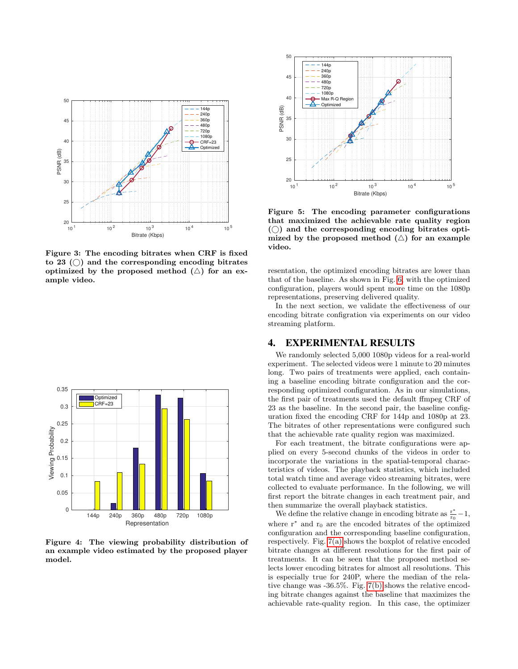

<span id="page-4-1"></span>Figure 3: The encoding bitrates when CRF is fixed to 23  $\circ$  and the corresponding encoding bitrates optimized by the proposed method  $(\triangle)$  for an example video.



<span id="page-4-2"></span>Figure 4: The viewing probability distribution of an example video estimated by the proposed player model.



<span id="page-4-3"></span>Figure 5: The encoding parameter configurations that maximized the achievable rate quality region  $($ ) and the corresponding encoding bitrates optimized by the proposed method  $(\triangle)$  for an example video.

resentation, the optimized encoding bitrates are lower than that of the baseline. As shown in Fig. [6,](#page-5-0) with the optimized configuration, players would spent more time on the 1080p representations, preserving delivered quality.

In the next section, we validate the effectiveness of our encoding bitrate configration via experiments on our video streaming platform.

## <span id="page-4-0"></span>4. EXPERIMENTAL RESULTS

We randomly selected 5,000 1080p videos for a real-world experiment. The selected videos were 1 minute to 20 minutes long. Two pairs of treatments were applied, each containing a baseline encoding bitrate configuration and the corresponding optimized configuration. As in our simulations, the first pair of treatments used the default ffmpeg CRF of 23 as the baseline. In the second pair, the baseline configuration fixed the encoding CRF for 144p and 1080p at 23. The bitrates of other representations were configured such that the achievable rate quality region was maximized.

For each treatment, the bitrate configurations were applied on every 5-second chunks of the videos in order to incorporate the variations in the spatial-temporal characteristics of videos. The playback statistics, which included total watch time and average video streaming bitrates, were collected to evaluate performance. In the following, we will first report the bitrate changes in each treatment pair, and then summarize the overall playback statistics.

We define the relative change in encoding bitrate as  $\frac{r^*}{r_0}$  $\frac{r^*}{r_0} - 1,$ where r<sup>∗</sup> and r<sup>0</sup> are the encoded bitrates of the optimized configuration and the corresponding baseline configuration, respectively. Fig. [7\(a\)](#page-5-1) shows the boxplot of relative encoded bitrate changes at different resolutions for the first pair of treatments. It can be seen that the proposed method selects lower encoding bitrates for almost all resolutions. This is especially true for 240P, where the median of the relative change was -36.5%. Fig. [7\(b\)](#page-5-2) shows the relative encoding bitrate changes against the baseline that maximizes the achievable rate-quality region. In this case, the optimizer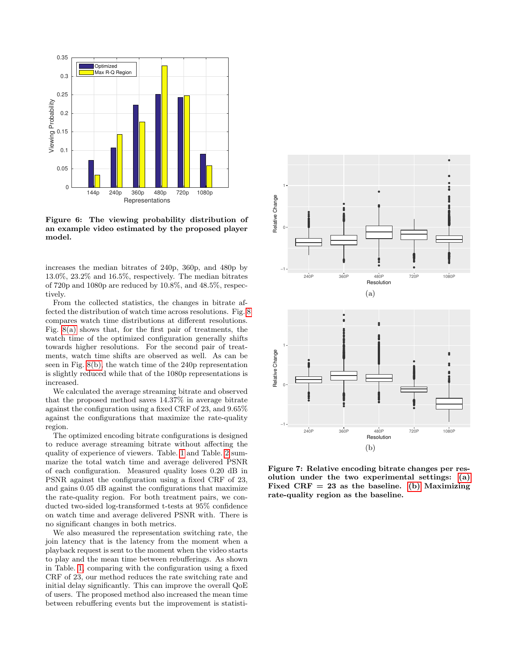

<span id="page-5-0"></span>Figure 6: The viewing probability distribution of an example video estimated by the proposed player model.

increases the median bitrates of 240p, 360p, and 480p by 13.0%, 23.2% and 16.5%, respectively. The median bitrates of 720p and 1080p are reduced by 10.8%, and 48.5%, respectively.

From the collected statistics, the changes in bitrate affected the distribution of watch time across resolutions. Fig. [8](#page-6-8) compares watch time distributions at different resolutions. Fig. [8\(a\)](#page-6-9) shows that, for the first pair of treatments, the watch time of the optimized configuration generally shifts towards higher resolutions. For the second pair of treatments, watch time shifts are observed as well. As can be seen in Fig. [8\(b\),](#page-6-10) the watch time of the 240p representation is slightly reduced while that of the 1080p representations is increased.

We calculated the average streaming bitrate and observed that the proposed method saves 14.37% in average bitrate against the configuration using a fixed CRF of 23, and 9.65% against the configurations that maximize the rate-quality region.

The optimized encoding bitrate configurations is designed to reduce average streaming bitrate without affecting the quality of experience of viewers. Table. [1](#page-7-7) and Table. [2](#page-7-8) summarize the total watch time and average delivered PSNR of each configuration. Measured quality loses 0.20 dB in PSNR against the configuration using a fixed CRF of 23, and gains 0.05 dB against the configurations that maximize the rate-quality region. For both treatment pairs, we conducted two-sided log-transformed t-tests at 95% confidence on watch time and average delivered PSNR with. There is no significant changes in both metrics.

We also measured the representation switching rate, the join latency that is the latency from the moment when a playback request is sent to the moment when the video starts to play and the mean time between rebufferings. As shown in Table. [1,](#page-7-7) comparing with the configuration using a fixed CRF of 23, our method reduces the rate switching rate and initial delay significantly. This can improve the overall QoE of users. The proposed method also increased the mean time between rebuffering events but the improvement is statisti-

<span id="page-5-1"></span>

<span id="page-5-2"></span>Figure 7: Relative encoding bitrate changes per resolution under the two experimental settings: [\(a\)](#page-5-1) Fixed CRF  $= 23$  as the baseline. [\(b\)](#page-5-2) Maximizing rate-quality region as the baseline.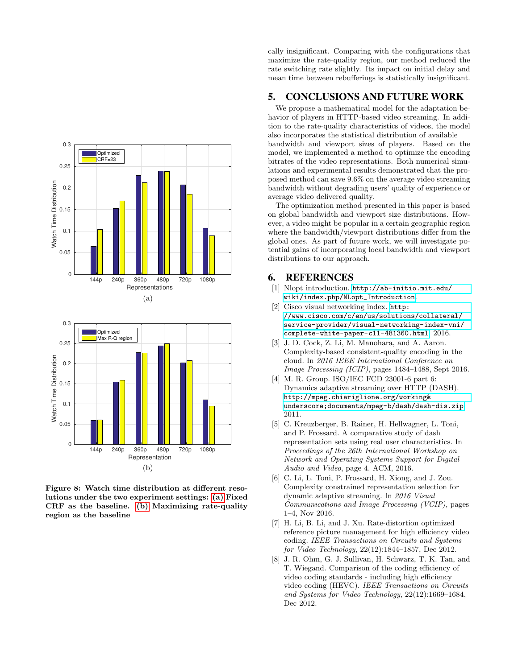<span id="page-6-9"></span>

<span id="page-6-10"></span><span id="page-6-8"></span>Figure 8: Watch time distribution at different resolutions under the two experiment settings: [\(a\)](#page-6-9) Fixed CRF as the baseline. [\(b\)](#page-6-10) Maximizing rate-quality region as the baseline

cally insignificant. Comparing with the configurations that maximize the rate-quality region, our method reduced the rate switching rate slightly. Its impact on initial delay and mean time between rebufferings is statistically insignificant.

# 5. CONCLUSIONS AND FUTURE WORK

We propose a mathematical model for the adaptation behavior of players in HTTP-based video streaming. In addition to the rate-quality characteristics of videos, the model also incorporates the statistical distribution of available bandwidth and viewport sizes of players. Based on the model, we implemented a method to optimize the encoding bitrates of the video representations. Both numerical simulations and experimental results demonstrated that the proposed method can save 9.6% on the average video streaming bandwidth without degrading users' quality of experience or average video delivered quality.

The optimization method presented in this paper is based on global bandwidth and viewport size distributions. However, a video might be popular in a certain geographic region where the bandwidth/viewport distributions differ from the global ones. As part of future work, we will investigate potential gains of incorporating local bandwidth and viewport distributions to our approach.

#### 6. REFERENCES

- <span id="page-6-7"></span>[1] Nlopt introduction. [http://ab-initio.mit.edu/](http://ab-initio.mit.edu/wiki/index.php/NLopt_Introduction) [wiki/index.php/NLopt\\_Introduction](http://ab-initio.mit.edu/wiki/index.php/NLopt_Introduction).
- <span id="page-6-6"></span>[2] Cisco visual networking index. [http:](http://www.cisco.com/c/en/us/solutions/collateral/service-provider/visual-networking-index-vni/complete-white-paper-c11-481360.html) [//www.cisco.com/c/en/us/solutions/collateral/](http://www.cisco.com/c/en/us/solutions/collateral/service-provider/visual-networking-index-vni/complete-white-paper-c11-481360.html) [service-provider/visual-networking-index-vni/](http://www.cisco.com/c/en/us/solutions/collateral/service-provider/visual-networking-index-vni/complete-white-paper-c11-481360.html) [complete-white-paper-c11-481360.html](http://www.cisco.com/c/en/us/solutions/collateral/service-provider/visual-networking-index-vni/complete-white-paper-c11-481360.html), 2016.
- <span id="page-6-3"></span>[3] J. D. Cock, Z. Li, M. Manohara, and A. Aaron. Complexity-based consistent-quality encoding in the cloud. In 2016 IEEE International Conference on Image Processing (ICIP), pages 1484–1488, Sept 2016.
- <span id="page-6-0"></span>[4] M. R. Group. ISO/IEC FCD 23001-6 part 6: Dynamics adaptive streaming over HTTP (DASH). [http://mpeg.chiariglione.org/working&](http://mpeg.chiariglione.org/working&underscore;documents/mpeg-b/dash/dash-dis.zip) [underscore;documents/mpeg-b/dash/dash-dis.zip](http://mpeg.chiariglione.org/working&underscore;documents/mpeg-b/dash/dash-dis.zip), 2011.
- <span id="page-6-4"></span>[5] C. Kreuzberger, B. Rainer, H. Hellwagner, L. Toni, and P. Frossard. A comparative study of dash representation sets using real user characteristics. In Proceedings of the 26th International Workshop on Network and Operating Systems Support for Digital Audio and Video, page 4. ACM, 2016.
- <span id="page-6-5"></span>[6] C. Li, L. Toni, P. Frossard, H. Xiong, and J. Zou. Complexity constrained representation selection for dynamic adaptive streaming. In 2016 Visual Communications and Image Processing (VCIP), pages 1–4, Nov 2016.
- <span id="page-6-1"></span>[7] H. Li, B. Li, and J. Xu. Rate-distortion optimized reference picture management for high efficiency video coding. IEEE Transactions on Circuits and Systems for Video Technology, 22(12):1844–1857, Dec 2012.
- <span id="page-6-2"></span>[8] J. R. Ohm, G. J. Sullivan, H. Schwarz, T. K. Tan, and T. Wiegand. Comparison of the coding efficiency of video coding standards - including high efficiency video coding (HEVC). IEEE Transactions on Circuits and Systems for Video Technology, 22(12):1669–1684, Dec 2012.